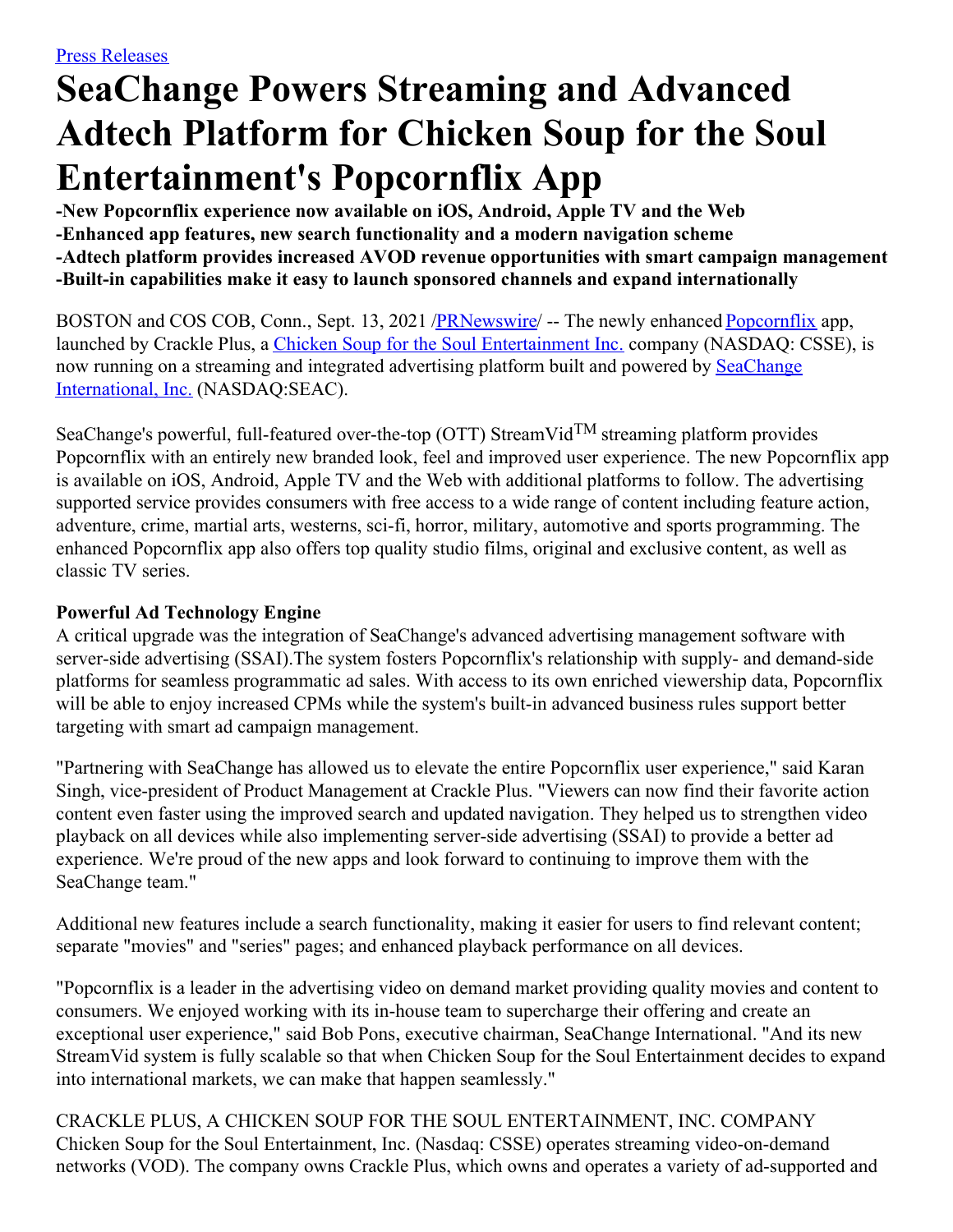# **SeaChange Powers Streaming and Advanced Adtech Platform for Chicken Soup for the Soul Entertainment's Popcornflix App**

**-New Popcornflix experience now available on iOS, Android, Apple TV and the Web -Enhanced app features, new search functionality and a modern navigation scheme -Adtech platform provides increased AVOD revenue opportunities with smart campaign management -Built-in capabilities make it easy to launch sponsored channels and expand internationally**

BOSTON and COS COB, Conn., Sept. 13, 2021 [/PRNewswire](http://www.prnewswire.com/)/ -- The newly enhanced [Popcornflix](https://c212.net/c/link/?t=0&l=en&o=3286430-1&h=876568102&u=https%3A%2F%2Fpopcornflix.com%2F&a=Popcornflix) app, launched by Crackle Plus, a Chicken Soup for the Soul [Entertainment](https://c212.net/c/link/?t=0&l=en&o=3286430-1&h=504227295&u=https%3A%2F%2Fcssentertainment.com%2F&a=Chicken+Soup+for+the+Soul+Entertainment+Inc.) Inc. company (NASDAQ: CSSE), is now running on a streaming and integrated advertising platform built and powered by SeaChange International, Inc. [\(NASDAQ:SEAC\).](https://c212.net/c/link/?t=0&l=en&o=3286430-1&h=8170288&u=http%3A%2F%2Fwww.seachange.com%2F&a=SeaChange+International%2C+Inc.)

SeaChange's powerful, full-featured over-the-top (OTT) StreamVid<sup>TM</sup> streaming platform provides Popcornflix with an entirely new branded look, feel and improved user experience. The new Popcornflix app is available on iOS, Android, Apple TV and the Web with additional platforms to follow. The advertising supported service provides consumers with free access to a wide range of content including feature action, adventure, crime, martial arts, westerns, sci-fi, horror, military, automotive and sports programming. The enhanced Popcornflix app also offers top quality studio films, original and exclusive content, as well as classic TV series.

## **Powerful Ad Technology Engine**

A critical upgrade was the integration of SeaChange's advanced advertising management software with server-side advertising (SSAI).The system fosters Popcornflix's relationship with supply- and demand-side platforms for seamless programmatic ad sales. With access to its own enriched viewership data, Popcornflix will be able to enjoy increased CPMs while the system's built-in advanced business rules support better targeting with smart ad campaign management.

"Partnering with SeaChange has allowed us to elevate the entire Popcornflix user experience," said Karan Singh, vice-president of Product Management at Crackle Plus. "Viewers can now find their favorite action content even faster using the improved search and updated navigation. They helped us to strengthen video playback on all devices while also implementing server-side advertising (SSAI) to provide a better ad experience. We're proud of the new apps and look forward to continuing to improve them with the SeaChange team."

Additional new features include a search functionality, making it easier for users to find relevant content; separate "movies" and "series" pages; and enhanced playback performance on all devices.

"Popcornflix is a leader in the advertising video on demand market providing quality movies and content to consumers. We enjoyed working with its in-house team to supercharge their offering and create an exceptional user experience," said Bob Pons, executive chairman, SeaChange International. "And its new StreamVid system is fully scalable so that when Chicken Soup for the Soul Entertainment decides to expand into international markets, we can make that happen seamlessly."

CRACKLE PLUS, A CHICKEN SOUP FOR THE SOUL ENTERTAINMENT, INC. COMPANY Chicken Soup for the Soul Entertainment, Inc. (Nasdaq: CSSE) operates streaming video-on-demand networks (VOD). The company owns Crackle Plus, which owns and operates a variety of ad-supported and